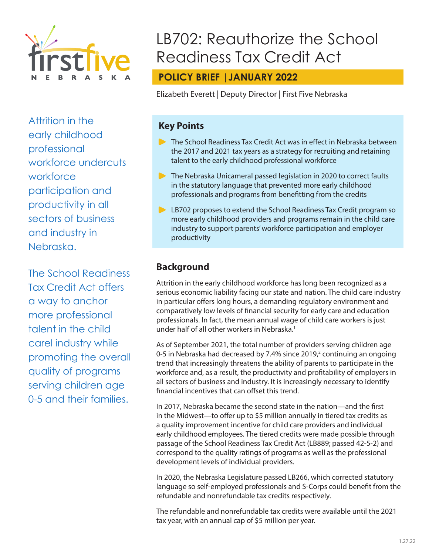

Attrition in the early childhood professional workforce undercuts workforce participation and productivity in all sectors of business and industry in Nebraska.

The School Readiness Tax Credit Act offers a way to anchor more professional talent in the child carel industry while promoting the overall quality of programs serving children age 0-5 and their families.

# LB702: Reauthorize the School Readiness Tax Credit Act

# **POLICY BRIEF |JANUARY 2022**

Elizabeth Everett | Deputy Director | First Five Nebraska

# **Key Points**

- **The School Readiness Tax Credit Act was in effect in Nebraska between** the 2017 and 2021 tax years as a strategy for recruiting and retaining talent to the early childhood professional workforce
- **The Nebraska Unicameral passed legislation in 2020 to correct faults** in the statutory language that prevented more early childhood professionals and programs from benefitting from the credits
- **EXTERT** LB702 proposes to extend the School Readiness Tax Credit program so more early childhood providers and programs remain in the child care industry to support parents' workforce participation and employer productivity

# **Background**

Attrition in the early childhood workforce has long been recognized as a serious economic liability facing our state and nation. The child care industry in particular offers long hours, a demanding regulatory environment and comparatively low levels of financial security for early care and education professionals. In fact, the mean annual wage of child care workers is just under half of all other workers in Nebraska.<sup>1</sup>

As of September 2021, the total number of providers serving children age 0-5 in Nebraska had decreased by 7.4% since 2019, $^2$  continuing an ongoing trend that increasingly threatens the ability of parents to participate in the workforce and, as a result, the productivity and profitability of employers in all sectors of business and industry. It is increasingly necessary to identify financial incentives that can offset this trend.

In 2017, Nebraska became the second state in the nation—and the first in the Midwest—to offer up to \$5 million annually in tiered tax credits as a quality improvement incentive for child care providers and individual early childhood employees. The tiered credits were made possible through passage of the School Readiness Tax Credit Act (LB889; passed 42-5-2) and correspond to the quality ratings of programs as well as the professional development levels of individual providers.

In 2020, the Nebraska Legislature passed LB266, which corrected statutory language so self-employed professionals and S-Corps could benefit from the refundable and nonrefundable tax credits respectively.

The refundable and nonrefundable tax credits were available until the 2021 tax year, with an annual cap of \$5 million per year.